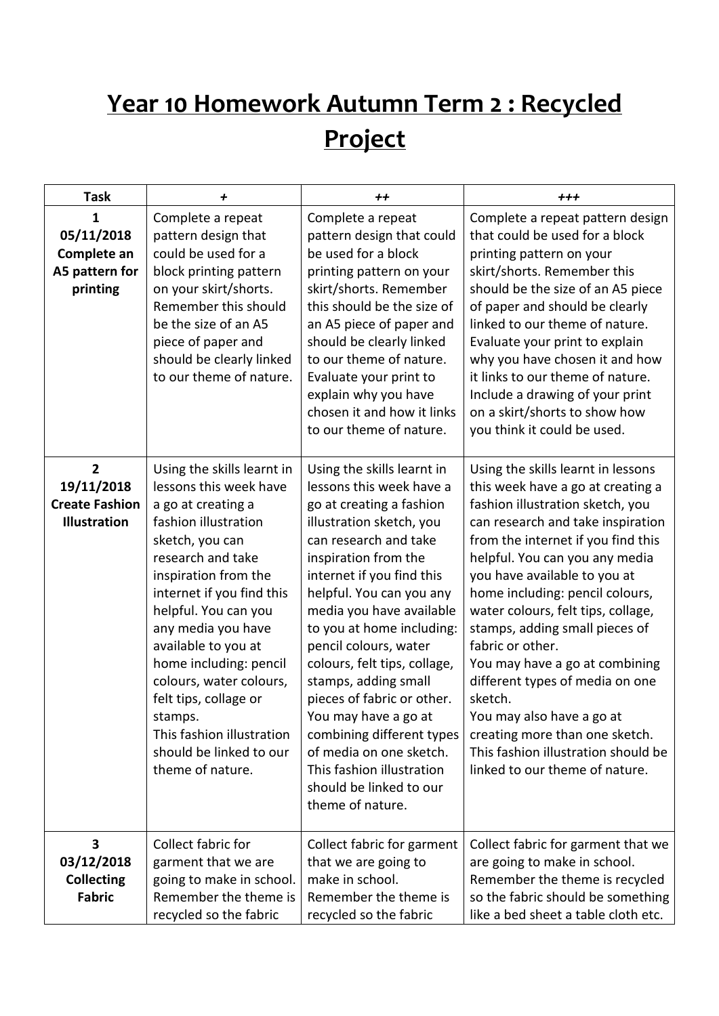## **Year 10 Homework Autumn Term 2 : Recycled Project**

| <b>Task</b>                                                                  | +                                                                                                                                                                                                                                                                                                                                                                                                                                         | $^{\rm ++}$                                                                                                                                                                                                                                                                                                                                                                                                                                                                                                                                                  | $+ + +$                                                                                                                                                                                                                                                                                                                                                                                                                                                                                                                                                                                                         |
|------------------------------------------------------------------------------|-------------------------------------------------------------------------------------------------------------------------------------------------------------------------------------------------------------------------------------------------------------------------------------------------------------------------------------------------------------------------------------------------------------------------------------------|--------------------------------------------------------------------------------------------------------------------------------------------------------------------------------------------------------------------------------------------------------------------------------------------------------------------------------------------------------------------------------------------------------------------------------------------------------------------------------------------------------------------------------------------------------------|-----------------------------------------------------------------------------------------------------------------------------------------------------------------------------------------------------------------------------------------------------------------------------------------------------------------------------------------------------------------------------------------------------------------------------------------------------------------------------------------------------------------------------------------------------------------------------------------------------------------|
| 1<br>05/11/2018<br>Complete an<br>A5 pattern for<br>printing                 | Complete a repeat<br>pattern design that<br>could be used for a<br>block printing pattern<br>on your skirt/shorts.<br>Remember this should<br>be the size of an A5<br>piece of paper and<br>should be clearly linked<br>to our theme of nature.                                                                                                                                                                                           | Complete a repeat<br>pattern design that could<br>be used for a block<br>printing pattern on your<br>skirt/shorts. Remember<br>this should be the size of<br>an A5 piece of paper and<br>should be clearly linked<br>to our theme of nature.<br>Evaluate your print to<br>explain why you have<br>chosen it and how it links<br>to our theme of nature.                                                                                                                                                                                                      | Complete a repeat pattern design<br>that could be used for a block<br>printing pattern on your<br>skirt/shorts. Remember this<br>should be the size of an A5 piece<br>of paper and should be clearly<br>linked to our theme of nature.<br>Evaluate your print to explain<br>why you have chosen it and how<br>it links to our theme of nature.<br>Include a drawing of your print<br>on a skirt/shorts to show how<br>you think it could be used.                                                                                                                                                               |
| $\overline{2}$<br>19/11/2018<br><b>Create Fashion</b><br><b>Illustration</b> | Using the skills learnt in<br>lessons this week have<br>a go at creating a<br>fashion illustration<br>sketch, you can<br>research and take<br>inspiration from the<br>internet if you find this<br>helpful. You can you<br>any media you have<br>available to you at<br>home including: pencil<br>colours, water colours,<br>felt tips, collage or<br>stamps.<br>This fashion illustration<br>should be linked to our<br>theme of nature. | Using the skills learnt in<br>lessons this week have a<br>go at creating a fashion<br>illustration sketch, you<br>can research and take<br>inspiration from the<br>internet if you find this<br>helpful. You can you any<br>media you have available<br>to you at home including:<br>pencil colours, water<br>colours, felt tips, collage,<br>stamps, adding small<br>pieces of fabric or other.<br>You may have a go at<br>combining different types<br>of media on one sketch.<br>This fashion illustration<br>should be linked to our<br>theme of nature. | Using the skills learnt in lessons<br>this week have a go at creating a<br>fashion illustration sketch, you<br>can research and take inspiration<br>from the internet if you find this<br>helpful. You can you any media<br>you have available to you at<br>home including: pencil colours,<br>water colours, felt tips, collage,<br>stamps, adding small pieces of<br>fabric or other.<br>You may have a go at combining<br>different types of media on one<br>sketch.<br>You may also have a go at<br>creating more than one sketch.<br>This fashion illustration should be<br>linked to our theme of nature. |
| 3<br>03/12/2018<br><b>Collecting</b><br><b>Fabric</b>                        | Collect fabric for<br>garment that we are<br>going to make in school.<br>Remember the theme is<br>recycled so the fabric                                                                                                                                                                                                                                                                                                                  | Collect fabric for garment<br>that we are going to<br>make in school.<br>Remember the theme is<br>recycled so the fabric                                                                                                                                                                                                                                                                                                                                                                                                                                     | Collect fabric for garment that we<br>are going to make in school.<br>Remember the theme is recycled<br>so the fabric should be something<br>like a bed sheet a table cloth etc.                                                                                                                                                                                                                                                                                                                                                                                                                                |